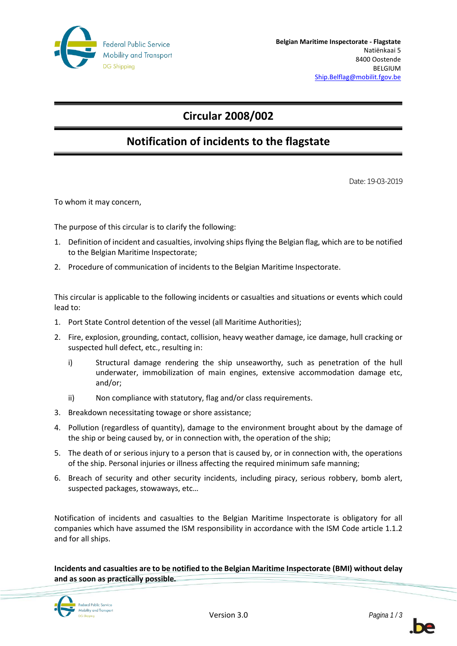

# **Circular 2008/002**

# **Notification of incidents to the flagstate**

Date: 19-03-2019

To whom it may concern,

The purpose of this circular is to clarify the following:

- 1. Definition of incident and casualties, involving ships flying the Belgian flag, which are to be notified to the Belgian Maritime Inspectorate;
- 2. Procedure of communication of incidents to the Belgian Maritime Inspectorate.

This circular is applicable to the following incidents or casualties and situations or events which could lead to:

- 1. Port State Control detention of the vessel (all Maritime Authorities);
- 2. Fire, explosion, grounding, contact, collision, heavy weather damage, ice damage, hull cracking or suspected hull defect, etc., resulting in:
	- i) Structural damage rendering the ship unseaworthy, such as penetration of the hull underwater, immobilization of main engines, extensive accommodation damage etc, and/or;
	- ii) Non compliance with statutory, flag and/or class requirements.
- 3. Breakdown necessitating towage or shore assistance;
- 4. Pollution (regardless of quantity), damage to the environment brought about by the damage of the ship or being caused by, or in connection with, the operation of the ship;
- 5. The death of or serious injury to a person that is caused by, or in connection with, the operations of the ship. Personal injuries or illness affecting the required minimum safe manning;
- 6. Breach of security and other security incidents, including piracy, serious robbery, bomb alert, suspected packages, stowaways, etc…

Notification of incidents and casualties to the Belgian Maritime Inspectorate is obligatory for all companies which have assumed the ISM responsibility in accordance with the ISM Code article 1.1.2 and for all ships.

**Incidents and casualties are to be notified to the Belgian Maritime Inspectorate (BMI) without delay and as soon as practically possible.**



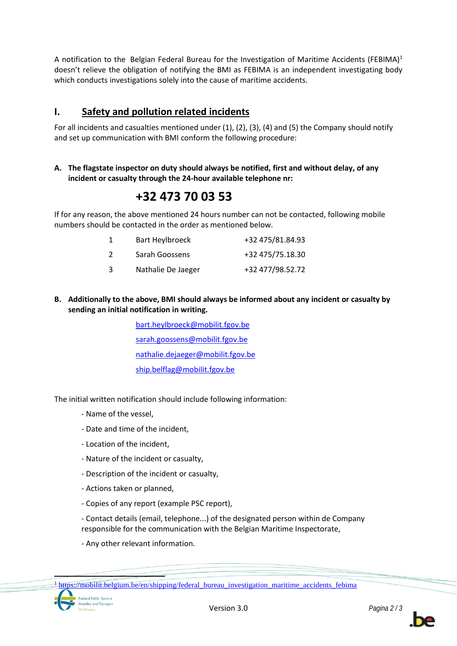A notification to the Belgian Federal Bureau for the Investigation of Maritime Accidents (FEBIMA)<sup>1</sup> doesn't relieve the obligation of notifying the BMI as FEBIMA is an independent investigating body which conducts investigations solely into the cause of maritime accidents.

## **I. Safety and pollution related incidents**

For all incidents and casualties mentioned under (1), (2), (3), (4) and (5) the Company should notify and set up communication with BMI conform the following procedure:

#### **A. The flagstate inspector on duty should always be notified, first and without delay, of any incident or casualty through the 24-hour available telephone nr:**

# **+32 473 70 03 53**

If for any reason, the above mentioned 24 hours number can not be contacted, following mobile numbers should be contacted in the order as mentioned below.

|    | Bart Heylbroeck    | +32 475/81.84.93 |
|----|--------------------|------------------|
| -2 | Sarah Goossens     | +32 475/75.18.30 |
| 3  | Nathalie De Jaeger | +32 477/98.52.72 |

#### **B. Additionally to the above, BMI should always be informed about any incident or casualty by sending an initial notification in writing.**

[bart.heylbroeck@mobilit.fgov.be](mailto:bart.heylbroeck@mobilit.fgov.be) [sarah.goossens@mobilit.fgov.be](mailto:sarah.goossens@mobilit.fgov.be) [nathalie.dejaeger@mobilit.fgov.be](mailto:nathalie.dejaeger@mobilit.fgov.be) [ship.belflag@mobilit.fgov.be](mailto:ship.belflag@mobilit.fgov.be)

The initial written notification should include following information:

- Name of the vessel,
- Date and time of the incident,
- Location of the incident,
- Nature of the incident or casualty,
- Description of the incident or casualty,
- Actions taken or planned,
- Copies of any report (example PSC report),

- Contact details (email, telephone...) of the designated person within de Company responsible for the communication with the Belgian Maritime Inspectorate,

- Any other relevant information.

<sup>&</sup>lt;sup>1</sup> [https://mobilit.belgium.be/en/shipping/federal\\_bureau\\_investigation\\_maritime\\_accidents\\_febima](https://mobilit.belgium.be/en/shipping/federal_bureau_investigation_maritime_accidents_febima)



 $\overline{a}$